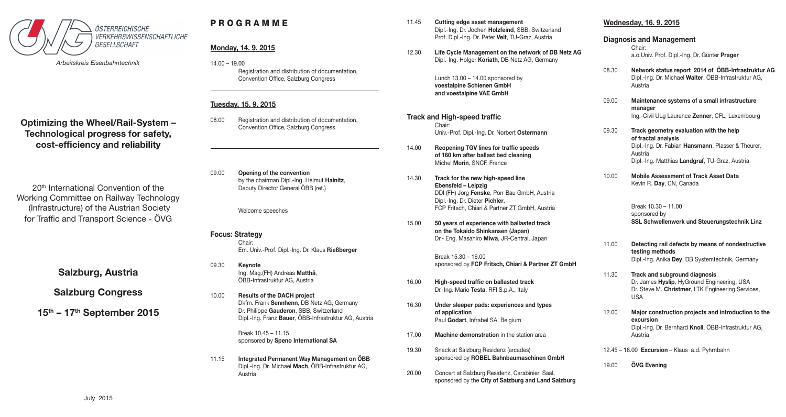

*Arbeitskreis Eisenbahntechnik*

**Optimizing the Wheel/Rail-System – Technological progress for safety, cost-efficiency and reliability**

20<sup>th</sup> International Convention of the Working Committee on Railway Technology (Infrastructure) of the Austrian Society for Traffic and Transport Science - ÖVG

**Salzburg, Austria**

**Salzburg Congress**

**15th – 17th September 2015**

# P R O G R A M M E

## **Monday, 14. 9. 2015**

14.00 – 19.00 Registration and distribution of documentation, Convention Office, Salzburg Congress

## **Tuesday, 15. 9. 2015**

- 08.00 Registration and distribution of documentation, Convention Office, Salzburg Congress
- 09.00 **Opening of the convention** by the chairman Dipl.-Ing. Helmut **Hainitz**, Deputy Director General ÖBB (ret.)

Welcome speeches

## **Focus: Strategy**

Chair: Em. Univ.-Prof. Dipl.-Ing. Dr. Klaus **Rießberger**

- 09.30 **Keynote** Ing. Mag.(FH) Andreas **Matthä**, ÖBB-Infrastruktur AG, Austria
- 10.00 **Results of the DACH project** Dkfm. Frank **Sennhenn**, DB Netz AG, Germany Dr. Philippe **Gauderon**, SBB, Switzerland Dipl.-Ing. Franz **Bauer**, ÖBB-Infrastruktur AG, Austria

Break 10.45 – 11.15 sponsored by **Speno International SA**

11.15 **Integrated Permanent Way Management on ÖBB** Dipl.-Ing. Dr. Michael **Mach**, ÖBB-Infrastruktur AG, Austria

- 11.45 **Cutting edge asset management**  Dipl.-Ing. Dr. Jochen **Holzfeind**, SBB, Switzerland Prof. Dipl.-Ing. Dr. Peter **Veit**, TU-Graz, Austria
- 12.30 **Life Cycle Management on the network of DB Netz AG** Dipl.-Ing. Holger **Koriath**, DB Netz AG, Germany

Lunch  $13.00 - 14.00$  sponsored by **voestalpine Schienen GmbH and voestalpine VAE GmbH**

- **Track and High-speed traffic**  Chair: Univ.-Prof. Dipl.-Ing. Dr. Norbert **Ostermann**
- 14.00 **Reopening TGV lines for traffic speeds of 160 km after ballast bed cleaning**  Michel **Morin**, SNCF, France
- 14.30 **Track for the new high-speed line Ebensfeld – Leipzig** DDI (FH) Jörg **Fenske**, Porr Bau GmbH, Austria Dipl.-Ing. Dr. Dieter **Pichler**, FCP Fritsch, Chiari & Partner ZT GmbH, Austria
- 15.00 **50 years of experience with ballasted track on the Tokaido Shinkansen (Japan)** Dr.- Eng. Masahiro **Miwa**, JR-Central, Japan

Break 15.30 – 16.00 sponsored by **FCP Fritsch, Chiari & Partner ZT GmbH**

- 16.00 **High-speed traffic on ballasted track** Dr.-Ing. Mario **Testa**, RFI S.p.A., Italy
- 16.30 **Under sleeper pads: experiences and types of application** Paul **Godart**, Infrabel SA, Belgium
- 17.00 **Machine demonstration** in the station area
- 19.30 Snack at Salzburg Residenz (arcades) sponsored by **ROBEL Bahnbaumaschinen GmbH**
- 20.00 Concert at Salzburg Residenz, Carabinieri Saal, sponsored by the **City of Salzburg and Land Salzburg**

## **Wednesday, 16. 9. 2015**

## **Diagnosis and Management**

Chair: a.o.Univ. Prof. Dipl.-Ing. Dr. Günter **Prager**

- 08.30 **Network status report 2014 of ÖBB-Infrastruktur AG** Dipl.-Ing. Dr. Michael **Walter**, ÖBB-Infrastruktur AG, Austria
- 09.00 **Maintenance systems of a small infrastructure manager** Ing.-Civil ULg Laurence **Zenner**, CFL, Luxembourg
- 09.30 **Track geometry evaluation with the help of fractal analysis** Dipl.-Ing. Dr. Fabian **Hansmann**, Plasser & Theurer, Austria Dipl.-Ing. Matthias **Landgraf**, TU-Graz, Austria
- 10.00 **Mobile Assessment of Track Asset Data** Kevin R. **Day**, CN, Canada

Break 10.30 – 11.00 sponsored by **SSL Schwellenwerk und Steuerungstechnik Linz**

- 11.00 **Detecting rail defects by means of nondestructive testing methods**  Dipl.-Ing. Anika **Dey**, DB Systemtechnik, Germany
- 11.30 **Track and subground diagnosis** Dr. James **Hyslip**, HyGround Engineering, USA Dr. Steve M. **Christmer**, LTK Engineering Services, USA
- 12.00 **Major construction projects and introduction to the excursion**  Dipl.-Ing. Dr. Bernhard **Knoll**, ÖBB-Infrastruktur AG, Austria
- 12.45 18.00 **Excursion** Klaus a.d. Pyhrnbahn
- 19.00 **ÖVG Evening**